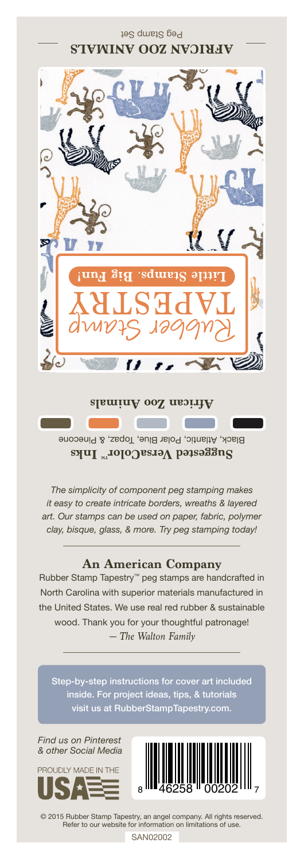Peg Stamp Set



**African Zoo Animals**

Black, Atlantic, Polar Blue, Topaz, & Pinecone **Suggested VersaColor** Inks

*The simplicity of component peg stamping makes it easy to create intricate borders, wreaths & layered art. Our stamps can be used on paper, fabric, polymer clay, bisque, glass, & more. Try peg stamping today!*

## **An American Company**

*— The Walton Family* Rubber Stamp Tapestry™ peg stamps are handcrafted in North Carolina with superior materials manufactured in the United States. We use real red rubber & sustainable wood. Thank you for your thoughtful patronage!

inside. For project ideas, tips, & tutorials visit us at RubberStampTapestry.com.

*Find us on Pinterest & other Social Media*





© 2015 Rubber Stamp Tapestry, an angel company. All rights reserved. Refer to our website for information on limitations of use.